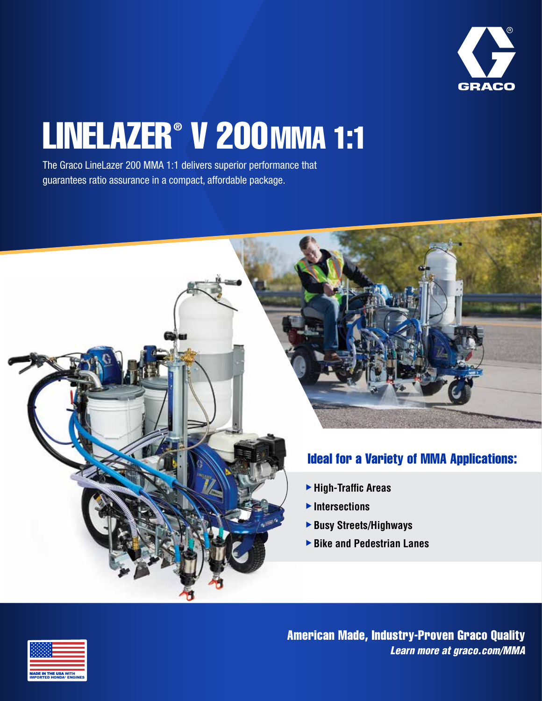

# LINELAZER<sup>®</sup> V 200 MMA 1:1

The Graco LineLazer 200 MMA 1:1 delivers superior performance that guarantees ratio assurance in a compact, affordable package.





American Made, Industry-Proven Graco Quality *Learn more a[t graco.com/MMA](https://www.graco.com/MMA)*